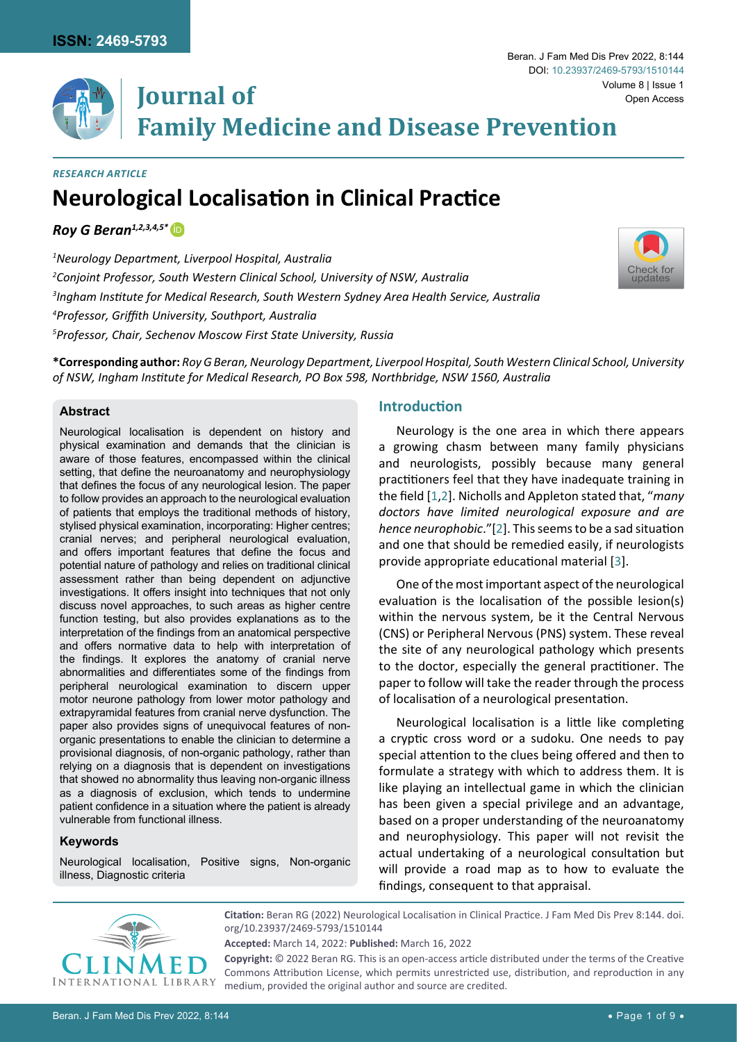

# **Neurological Localisation in Clinical Practice** *Research Article*

*Roy G Beran1,2,3,4,5\** [iD](https://orcid.org/0000-0002-5884-0606)

 *Neurology Department, Liverpool Hospital, Australia Conjoint Professor, South Western Clinical School, University of NSW, Australia Ingham Institute for Medical Research, South Western Sydney Area Health Service, Australia Professor, Griffith University, Southport, Australia Professor, Chair, Sechenov Moscow First State University, Russia*

**\*Corresponding author:** *Roy G Beran, Neurology Department, Liverpool Hospital, South Western Clinical School, University of NSW, Ingham Institute for Medical Research, PO Box 598, Northbridge, NSW 1560, Australia*

# **Abstract**

Neurological localisation is dependent on history and physical examination and demands that the clinician is aware of those features, encompassed within the clinical setting, that define the neuroanatomy and neurophysiology that defines the focus of any neurological lesion. The paper to follow provides an approach to the neurological evaluation of patients that employs the traditional methods of history, stylised physical examination, incorporating: Higher centres; cranial nerves; and peripheral neurological evaluation, and offers important features that define the focus and potential nature of pathology and relies on traditional clinical assessment rather than being dependent on adjunctive investigations. It offers insight into techniques that not only discuss novel approaches, to such areas as higher centre function testing, but also provides explanations as to the interpretation of the findings from an anatomical perspective and offers normative data to help with interpretation of the findings. It explores the anatomy of cranial nerve abnormalities and differentiates some of the findings from peripheral neurological examination to discern upper motor neurone pathology from lower motor pathology and extrapyramidal features from cranial nerve dysfunction. The paper also provides signs of unequivocal features of nonorganic presentations to enable the clinician to determine a provisional diagnosis, of non-organic pathology, rather than relying on a diagnosis that is dependent on investigations that showed no abnormality thus leaving non-organic illness as a diagnosis of exclusion, which tends to undermine patient confidence in a situation where the patient is already vulnerable from functional illness.

# **Keywords**

Neurological localisation, Positive signs, Non-organic illness, Diagnostic criteria

## **Introduction**

Neurology is the one area in which there appears a growing chasm between many family physicians and neurologists, possibly because many general practitioners feel that they have inadequate training in the field [\[1,](#page-7-0)[2](#page-7-1)]. Nicholls and Appleton stated that, "*many doctors have limited neurological exposure and are hence neurophobic*."[[2](#page-7-1)]. This seems to be a sad situation and one that should be remedied easily, if neurologists provide appropriate educational material [\[3](#page-7-2)].

One of the most important aspect of the neurological evaluation is the localisation of the possible lesion(s) within the nervous system, be it the Central Nervous (CNS) or Peripheral Nervous (PNS) system. These reveal the site of any neurological pathology which presents to the doctor, especially the general practitioner. The paper to follow will take the reader through the process of localisation of a neurological presentation.

Neurological localisation is a little like completing a cryptic cross word or a sudoku. One needs to pay special attention to the clues being offered and then to formulate a strategy with which to address them. It is like playing an intellectual game in which the clinician has been given a special privilege and an advantage, based on a proper understanding of the neuroanatomy and neurophysiology. This paper will not revisit the actual undertaking of a neurological consultation but will provide a road map as to how to evaluate the findings, consequent to that appraisal.



**Citation:** Beran RG (2022) Neurological Localisation in Clinical Practice. J Fam Med Dis Prev 8:144. [doi.](https://doi.org/10.23937/2469-5793/1510144) [org/10.23937/2469-5793/1510144](https://doi.org/10.23937/2469-5793/1510144)

**Copyright:** © 2022 Beran RG. This is an open-access article distributed under the terms of the Creative Commons Attribution License, which permits unrestricted use, distribution, and reproduction in any medium, provided the original author and source are credited.

**Accepted:** March 14, 2022: **Published:** March 16, 2022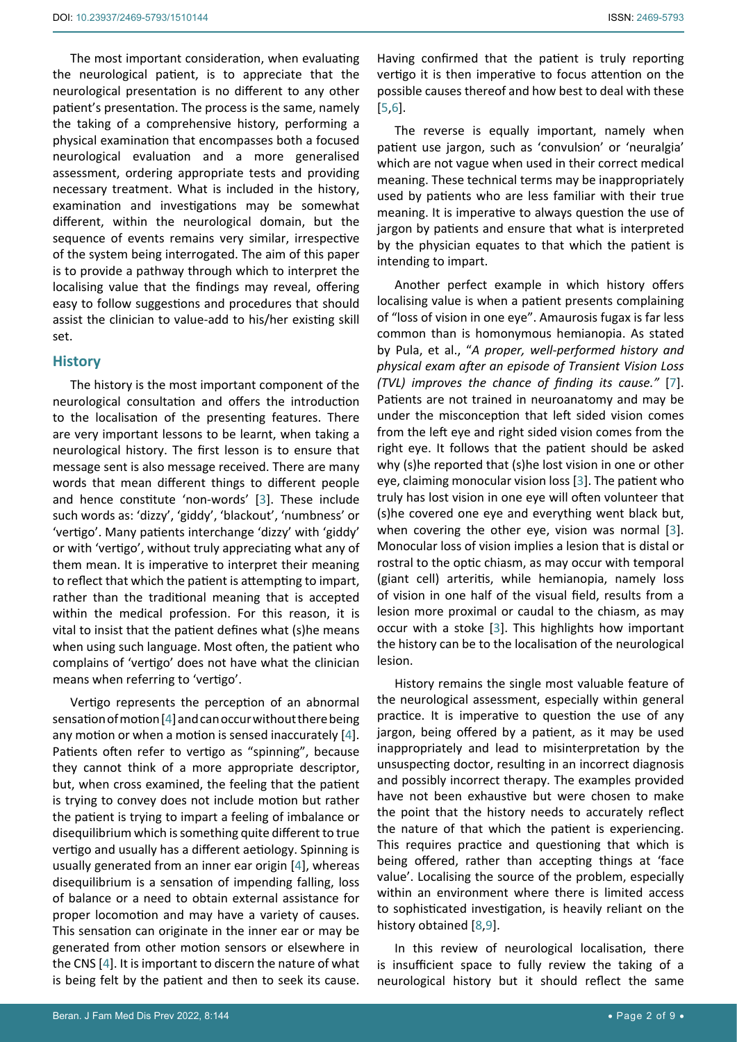The most important consideration, when evaluating the neurological patient, is to appreciate that the neurological presentation is no different to any other patient's presentation. The process is the same, namely the taking of a comprehensive history, performing a physical examination that encompasses both a focused neurological evaluation and a more generalised assessment, ordering appropriate tests and providing necessary treatment. What is included in the history, examination and investigations may be somewhat different, within the neurological domain, but the sequence of events remains very similar, irrespective of the system being interrogated. The aim of this paper is to provide a pathway through which to interpret the localising value that the findings may reveal, offering easy to follow suggestions and procedures that should assist the clinician to value-add to his/her existing skill set.

# **History**

The history is the most important component of the neurological consultation and offers the introduction to the localisation of the presenting features. There are very important lessons to be learnt, when taking a neurological history. The first lesson is to ensure that message sent is also message received. There are many words that mean different things to different people and hence constitute 'non-words' [[3](#page-7-2)]. These include such words as: 'dizzy', 'giddy', 'blackout', 'numbness' or 'vertigo'. Many patients interchange 'dizzy' with 'giddy' or with 'vertigo', without truly appreciating what any of them mean. It is imperative to interpret their meaning to reflect that which the patient is attempting to impart, rather than the traditional meaning that is accepted within the medical profession. For this reason, it is vital to insist that the patient defines what (s)he means when using such language. Most often, the patient who complains of 'vertigo' does not have what the clinician means when referring to 'vertigo'.

Vertigo represents the perception of an abnormal sensation of motion [[4](#page-8-0)] and can occur without there being any motion or when a motion is sensed inaccurately [[4](#page-8-0)]. Patients often refer to vertigo as "spinning", because they cannot think of a more appropriate descriptor, but, when cross examined, the feeling that the patient is trying to convey does not include motion but rather the patient is trying to impart a feeling of imbalance or disequilibrium which is something quite different to true vertigo and usually has a different aetiology. Spinning is usually generated from an inner ear origin [\[4\]](#page-8-0), whereas disequilibrium is a sensation of impending falling, loss of balance or a need to obtain external assistance for proper locomotion and may have a variety of causes. This sensation can originate in the inner ear or may be generated from other motion sensors or elsewhere in the CNS [\[4\]](#page-8-0). It is important to discern the nature of what is being felt by the patient and then to seek its cause.

Having confirmed that the patient is truly reporting vertigo it is then imperative to focus attention on the possible causes thereof and how best to deal with these [\[5](#page-8-1)[,6\]](#page-8-2).

The reverse is equally important, namely when patient use jargon, such as 'convulsion' or 'neuralgia' which are not vague when used in their correct medical meaning. These technical terms may be inappropriately used by patients who are less familiar with their true meaning. It is imperative to always question the use of jargon by patients and ensure that what is interpreted by the physician equates to that which the patient is intending to impart.

Another perfect example in which history offers localising value is when a patient presents complaining of "loss of vision in one eye". Amaurosis fugax is far less common than is homonymous hemianopia. As stated by Pula, et al., "*A proper, well-performed history and physical exam after an episode of Transient Vision Loss (TVL) improves the chance of finding its cause."* [\[7\]](#page-8-3). Patients are not trained in neuroanatomy and may be under the misconception that left sided vision comes from the left eye and right sided vision comes from the right eye. It follows that the patient should be asked why (s)he reported that (s)he lost vision in one or other eye, claiming monocular vision loss [\[3\]](#page-7-2). The patient who truly has lost vision in one eye will often volunteer that (s)he covered one eye and everything went black but, when covering the other eye, vision was normal [\[3\]](#page-7-2). Monocular loss of vision implies a lesion that is distal or rostral to the optic chiasm, as may occur with temporal (giant cell) arteritis, while hemianopia, namely loss of vision in one half of the visual field, results from a lesion more proximal or caudal to the chiasm, as may occur with a stoke [[3](#page-7-2)]. This highlights how important the history can be to the localisation of the neurological lesion.

History remains the single most valuable feature of the neurological assessment, especially within general practice. It is imperative to question the use of any jargon, being offered by a patient, as it may be used inappropriately and lead to misinterpretation by the unsuspecting doctor, resulting in an incorrect diagnosis and possibly incorrect therapy. The examples provided have not been exhaustive but were chosen to make the point that the history needs to accurately reflect the nature of that which the patient is experiencing. This requires practice and questioning that which is being offered, rather than accepting things at 'face value'. Localising the source of the problem, especially within an environment where there is limited access to sophisticated investigation, is heavily reliant on the history obtained [\[8](#page-8-4)[,9\]](#page-8-5).

In this review of neurological localisation, there is insufficient space to fully review the taking of a neurological history but it should reflect the same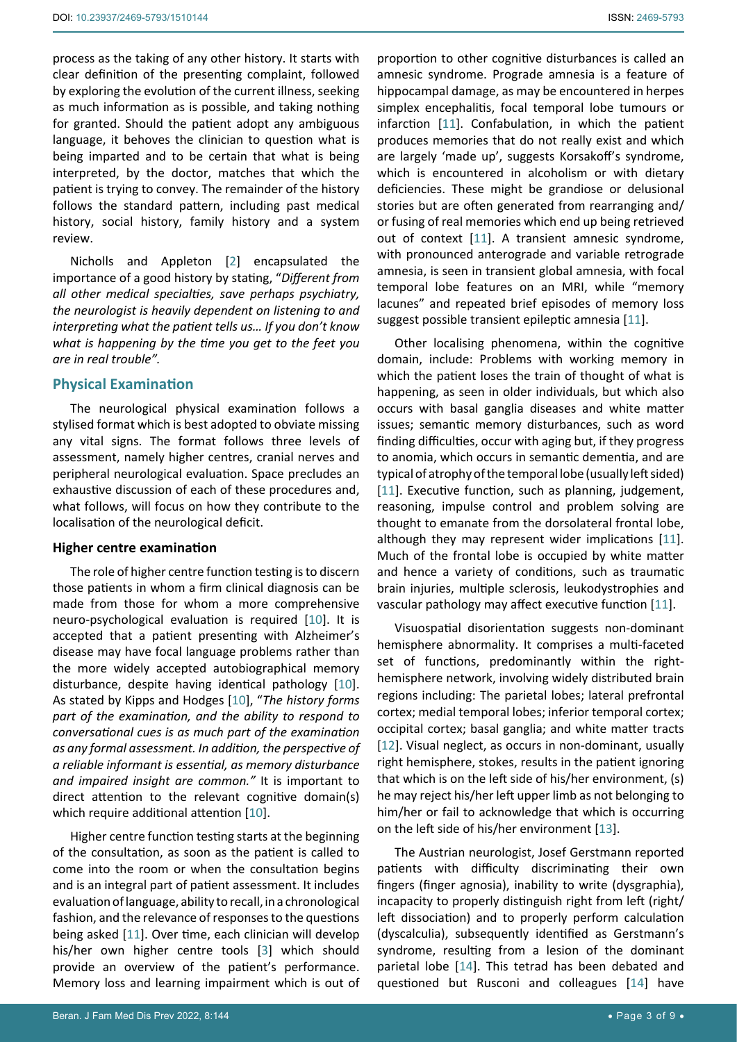process as the taking of any other history. It starts with clear definition of the presenting complaint, followed by exploring the evolution of the current illness, seeking as much information as is possible, and taking nothing for granted. Should the patient adopt any ambiguous language, it behoves the clinician to question what is being imparted and to be certain that what is being interpreted, by the doctor, matches that which the patient is trying to convey. The remainder of the history follows the standard pattern, including past medical history, social history, family history and a system review.

Nicholls and Appleton [[2](#page-7-1)] encapsulated the importance of a good history by stating, "*Different from all other medical specialties, save perhaps psychiatry, the neurologist is heavily dependent on listening to and interpreting what the patient tells us… If you don't know what is happening by the time you get to the feet you are in real trouble".*

# **Physical Examination**

The neurological physical examination follows a stylised format which is best adopted to obviate missing any vital signs. The format follows three levels of assessment, namely higher centres, cranial nerves and peripheral neurological evaluation. Space precludes an exhaustive discussion of each of these procedures and, what follows, will focus on how they contribute to the localisation of the neurological deficit.

# **Higher centre examination**

The role of higher centre function testing is to discern those patients in whom a firm clinical diagnosis can be made from those for whom a more comprehensive neuro-psychological evaluation is required [\[10](#page-8-10)]. It is accepted that a patient presenting with Alzheimer's disease may have focal language problems rather than the more widely accepted autobiographical memory disturbance, despite having identical pathology [\[10](#page-8-10)]. As stated by Kipps and Hodges [\[10\]](#page-8-10), "*The history forms part of the examination, and the ability to respond to conversational cues is as much part of the examination as any formal assessment. In addition, the perspective of a reliable informant is essential, as memory disturbance and impaired insight are common."* It is important to direct attention to the relevant cognitive domain(s) which require additional attention [\[10](#page-8-10)].

Higher centre function testing starts at the beginning of the consultation, as soon as the patient is called to come into the room or when the consultation begins and is an integral part of patient assessment. It includes evaluation of language, ability to recall, in a chronological fashion, and the relevance of responses to the questions being asked [\[11](#page-8-6)]. Over time, each clinician will develop his/her own higher centre tools [\[3\]](#page-7-2) which should provide an overview of the patient's performance. Memory loss and learning impairment which is out of

proportion to other cognitive disturbances is called an amnesic syndrome. Prograde amnesia is a feature of hippocampal damage, as may be encountered in herpes simplex encephalitis, focal temporal lobe tumours or infarction [\[11](#page-8-6)]. Confabulation, in which the patient produces memories that do not really exist and which are largely 'made up', suggests Korsakoff's syndrome, which is encountered in alcoholism or with dietary deficiencies. These might be grandiose or delusional stories but are often generated from rearranging and/ or fusing of real memories which end up being retrieved out of context [[11\]](#page-8-6). A transient amnesic syndrome, with pronounced anterograde and variable retrograde amnesia, is seen in transient global amnesia, with focal temporal lobe features on an MRI, while "memory lacunes" and repeated brief episodes of memory loss suggest possible transient epileptic amnesia [[11](#page-8-6)].

Other localising phenomena, within the cognitive domain, include: Problems with working memory in which the patient loses the train of thought of what is happening, as seen in older individuals, but which also occurs with basal ganglia diseases and white matter issues; semantic memory disturbances, such as word finding difficulties, occur with aging but, if they progress to anomia, which occurs in semantic dementia, and are typical of atrophy of the temporal lobe (usually left sided) [\[11](#page-8-6)]. Executive function, such as planning, judgement, reasoning, impulse control and problem solving are thought to emanate from the dorsolateral frontal lobe, although they may represent wider implications [\[11\]](#page-8-6). Much of the frontal lobe is occupied by white matter and hence a variety of conditions, such as traumatic brain injuries, multiple sclerosis, leukodystrophies and vascular pathology may affect executive function [[11](#page-8-6)].

Visuospatial disorientation suggests non-dominant hemisphere abnormality. It comprises a multi-faceted set of functions, predominantly within the righthemisphere network, involving widely distributed brain regions including: The parietal lobes; lateral prefrontal cortex; medial temporal lobes; inferior temporal cortex; occipital cortex; basal ganglia; and white matter tracts [\[12](#page-8-7)]. Visual neglect, as occurs in non-dominant, usually right hemisphere, stokes, results in the patient ignoring that which is on the left side of his/her environment, (s) he may reject his/her left upper limb as not belonging to him/her or fail to acknowledge that which is occurring on the left side of his/her environment [[13](#page-8-8)].

The Austrian neurologist, Josef Gerstmann reported patients with difficulty discriminating their own fingers (finger agnosia), inability to write (dysgraphia), incapacity to properly distinguish right from left (right/ left dissociation) and to properly perform calculation (dyscalculia), subsequently identified as Gerstmann's syndrome, resulting from a lesion of the dominant parietal lobe [\[14](#page-8-9)]. This tetrad has been debated and questioned but Rusconi and colleagues [\[14](#page-8-9)] have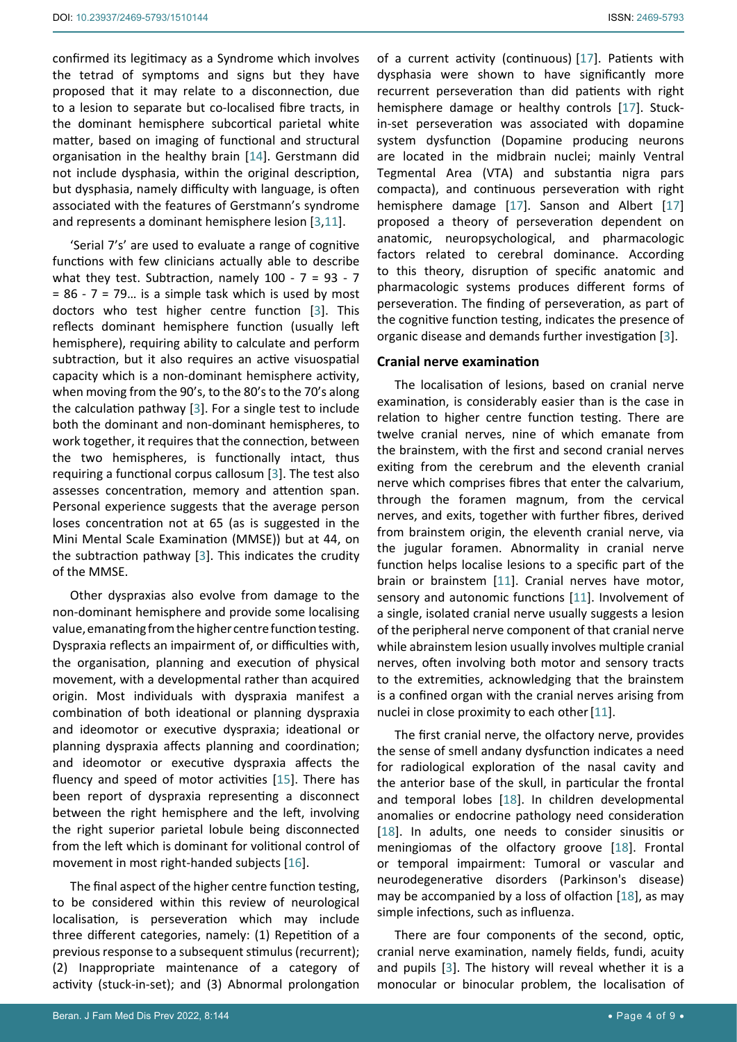confirmed its legitimacy as a Syndrome which involves the tetrad of symptoms and signs but they have proposed that it may relate to a disconnection, due to a lesion to separate but co-localised fibre tracts, in the dominant hemisphere subcortical parietal white matter, based on imaging of functional and structural organisation in the healthy brain [\[14\]](#page-8-9). Gerstmann did not include dysphasia, within the original description, but dysphasia, namely difficulty with language, is often associated with the features of Gerstmann's syndrome and represents a dominant hemisphere lesion [[3](#page-7-2)[,11](#page-8-6)].

'Serial 7's' are used to evaluate a range of cognitive functions with few clinicians actually able to describe what they test. Subtraction, namely  $100 - 7 = 93 - 7$  $= 86 - 7 = 79...$  is a simple task which is used by most doctors who test higher centre function [[3](#page-7-2)]. This reflects dominant hemisphere function (usually left hemisphere), requiring ability to calculate and perform subtraction, but it also requires an active visuospatial capacity which is a non-dominant hemisphere activity, when moving from the 90's, to the 80's to the 70's along the calculation pathway [[3](#page-7-2)]. For a single test to include both the dominant and non-dominant hemispheres, to work together, it requires that the connection, between the two hemispheres, is functionally intact, thus requiring a functional corpus callosum [[3](#page-7-2)]. The test also assesses concentration, memory and attention span. Personal experience suggests that the average person loses concentration not at 65 (as is suggested in the Mini Mental Scale Examination (MMSE)) but at 44, on the subtraction pathway [[3](#page-7-2)]. This indicates the crudity of the MMSE.

Other dyspraxias also evolve from damage to the non-dominant hemisphere and provide some localising value, emanating from the higher centre function testing. Dyspraxia reflects an impairment of, or difficulties with, the organisation, planning and execution of physical movement, with a developmental rather than acquired origin. Most individuals with dyspraxia manifest a combination of both ideational or planning dyspraxia and ideomotor or executive dyspraxia; ideational or planning dyspraxia affects planning and coordination; and ideomotor or executive dyspraxia affects the fluency and speed of motor activities [[15\]](#page-8-13). There has been report of dyspraxia representing a disconnect between the right hemisphere and the left, involving the right superior parietal lobule being disconnected from the left which is dominant for volitional control of movement in most right-handed subjects [[16\]](#page-8-14).

The final aspect of the higher centre function testing, to be considered within this review of neurological localisation, is perseveration which may include three different categories, namely: (1) Repetition of a previous response to a subsequent stimulus (recurrent); (2) Inappropriate maintenance of a category of activity (stuck-in-set); and (3) Abnormal prolongation

of a current activity (continuous) [[17\]](#page-8-11). Patients with dysphasia were shown to have significantly more recurrent perseveration than did patients with right hemisphere damage or healthy controls [[17\]](#page-8-11). Stuckin-set perseveration was associated with dopamine system dysfunction (Dopamine producing neurons are located in the midbrain nuclei; mainly Ventral Tegmental Area (VTA) and substantia nigra pars compacta), and continuous perseveration with right hemisphere damage [[17\]](#page-8-11). Sanson and Albert [\[17](#page-8-11)] proposed a theory of perseveration dependent on anatomic, neuropsychological, and pharmacologic factors related to cerebral dominance. According to this theory, disruption of specific anatomic and pharmacologic systems produces different forms of perseveration. The finding of perseveration, as part of the cognitive function testing, indicates the presence of organic disease and demands further investigation [\[3\]](#page-7-2).

#### **Cranial nerve examination**

The localisation of lesions, based on cranial nerve examination, is considerably easier than is the case in relation to higher centre function testing. There are twelve cranial nerves, nine of which emanate from the brainstem, with the first and second cranial nerves exiting from the cerebrum and the eleventh cranial nerve which comprises fibres that enter the calvarium, through the foramen magnum, from the cervical nerves, and exits, together with further fibres, derived from brainstem origin, the eleventh cranial nerve, via the jugular foramen. Abnormality in cranial nerve function helps localise lesions to a specific part of the brain or brainstem [[11\]](#page-8-6). Cranial nerves have motor, sensory and autonomic functions [\[11](#page-8-6)]. Involvement of a single, isolated cranial nerve usually suggests a lesion of the peripheral nerve component of that cranial nerve while abrainstem lesion usually involves multiple cranial nerves, often involving both motor and sensory tracts to the extremities, acknowledging that the brainstem is a confined organ with the cranial nerves arising from nuclei in close proximity to each other [\[11](#page-8-6)].

The first cranial nerve, the olfactory nerve, provides the sense of smell andany dysfunction indicates a need for radiological exploration of the [nasal cavity](https://www.sciencedirect.com/topics/medicine-and-dentistry/nasal-cavity) and the anterior base of the skull, in particular the frontal and [temporal lobes](https://www.sciencedirect.com/topics/medicine-and-dentistry/temporal-lobe) [[18\]](#page-8-12). In children developmental anomalies or endocrine pathology need consideration [\[18](#page-8-12)]. In adults, one needs to consider sinusitis or meningiomas of the olfactory groove [[18\]](#page-8-12). Frontal or temporal impairment: Tumoral or vascular and neurodegenerative disorders (Parkinson's disease) may be accompanied by a loss of olfaction [\[18\]](#page-8-12), as may simple infections, such as influenza.

There are four components of the second, optic, cranial nerve examination, namely fields, fundi, acuity and pupils [\[3\]](#page-7-2). The history will reveal whether it is a monocular or binocular problem, the localisation of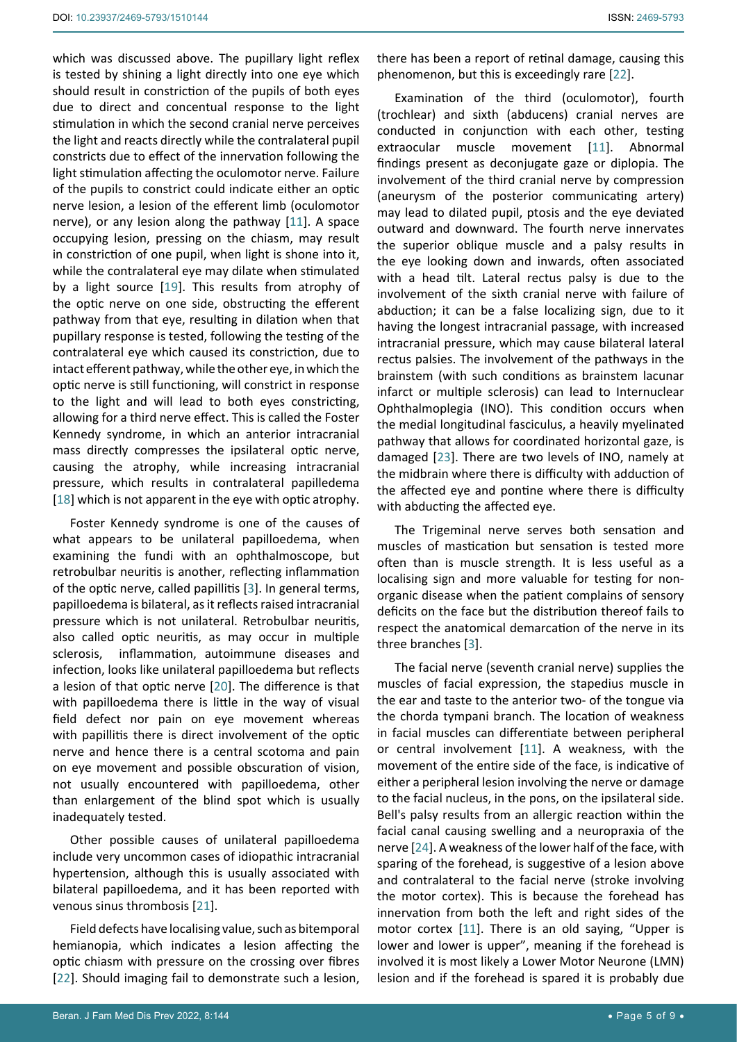which was discussed above. The pupillary light reflex is tested by shining a light directly into one eye which should result in constriction of the pupils of both eyes due to direct and concentual response to the light stimulation in which the second cranial nerve perceives the light and reacts directly while the contralateral pupil constricts due to effect of the innervation following the light stimulation affecting the oculomotor nerve. Failure of the pupils to constrict could indicate either an optic nerve lesion, a lesion of the efferent limb (oculomotor nerve), or any lesion along the pathway [[11](#page-8-6)]. A space occupying lesion, pressing on the chiasm, may result in constriction of one pupil, when light is shone into it, while the contralateral eye may dilate when stimulated by a light source [[19\]](#page-8-18). This results from atrophy of the optic nerve on one side, obstructing the efferent pathway from that eye, resulting in dilation when that pupillary response is tested, following the testing of the contralateral eye which caused its constriction, due to intact efferent pathway, while the other eye, in which the optic nerve is still functioning, will constrict in response to the light and will lead to both eyes constricting, allowing for a third nerve effect. This is called the Foster Kennedy syndrome, in which an anterior intracranial mass directly compresses the ipsilateral optic nerve, causing the atrophy, while increasing intracranial pressure, which results in contralateral papilledema [[18](#page-8-12)] which is not apparent in the eye with optic atrophy.

Foster Kennedy syndrome is one of the causes of what appears to be unilateral papilloedema, when examining the fundi with an ophthalmoscope, but retrobulbar neuritis is another, reflecting inflammation of the optic nerve, called papillitis [\[3\]](#page-7-2). In general terms, papilloedema is bilateral, as it reflects raised intracranial pressure which is not unilateral. Retrobulbar neuritis, also called optic neuritis, as may occur in multiple sclerosis, inflammation, autoimmune diseases and infection, looks like unilateral papilloedema but reflects a lesion of that optic nerve [[20](#page-8-19)]. The difference is that with papilloedema there is little in the way of visual field defect nor pain on eye movement whereas with papillitis there is direct involvement of the optic nerve and hence there is a central scotoma and pain on eye movement and possible obscuration of vision, not usually encountered with papilloedema, other than enlargement of the blind spot which is usually inadequately tested.

Other possible causes of unilateral papilloedema include very uncommon cases of idiopathic intracranial hypertension, although this is usually associated with bilateral papilloedema, and it has been reported with venous sinus thrombosis [[21\]](#page-8-20).

Field defects have localising value, such as bitemporal hemianopia, which indicates a lesion affecting the optic chiasm with pressure on the crossing over fibres [[22](#page-8-15)]. Should imaging fail to demonstrate such a lesion, there has been a report of retinal damage, causing this phenomenon, but this is exceedingly rare [[22](#page-8-15)].

Examination of the third (oculomotor), fourth (trochlear) and sixth (abducens) cranial nerves are conducted in conjunction with each other, testing extraocular muscle movement [\[11](#page-8-6)]. Abnormal findings present as deconjugate gaze or diplopia. The involvement of the third cranial nerve by compression (aneurysm of the posterior communicating artery) may lead to dilated pupil, ptosis and the eye deviated outward and downward. The fourth nerve innervates the superior oblique muscle and a palsy results in the eye looking down and inwards, often associated with a head tilt. Lateral rectus palsy is due to the involvement of the sixth cranial nerve with failure of abduction; it can be a false localizing sign, due to it having the longest intracranial passage, with increased intracranial pressure, which may cause bilateral lateral rectus palsies. The involvement of the pathways in the brainstem (with such conditions as brainstem lacunar infarct or multiple sclerosis) can lead to Internuclear Ophthalmoplegia (INO). This condition occurs when the medial longitudinal fasciculus, a heavily myelinated pathway that allows for coordinated horizontal gaze, is damaged [\[23](#page-8-16)]. There are two levels of INO, namely at the midbrain where there is difficulty with adduction of the affected eye and pontine where there is difficulty with abducting the affected eye.

The Trigeminal nerve serves both sensation and muscles of mastication but sensation is tested more often than is muscle strength. It is less useful as a localising sign and more valuable for testing for nonorganic disease when the patient complains of sensory deficits on the face but the distribution thereof fails to respect the anatomical demarcation of the nerve in its three branches [\[3\]](#page-7-2).

The facial nerve (seventh cranial nerve) supplies the muscles of facial expression, the stapedius muscle in the ear and taste to the anterior two- of the tongue via the chorda tympani branch. The location of weakness in facial muscles can differentiate between peripheral or central involvement [\[11](#page-8-6)]. A weakness, with the movement of the entire side of the face, is indicative of either a peripheral lesion involving the nerve or damage to the facial nucleus, in the pons, on the ipsilateral side. Bell's palsy results from an allergic reaction within the facial canal causing swelling and a neuropraxia of the nerve [\[24\]](#page-8-17). A weakness of the lower half of the face, with sparing of the forehead, is suggestive of a lesion above and contralateral to the facial nerve (stroke involving the motor cortex). This is because the forehead has innervation from both the left and right sides of the motor cortex [[11\]](#page-8-6). There is an old saying, "Upper is lower and lower is upper", meaning if the forehead is involved it is most likely a Lower Motor Neurone (LMN) lesion and if the forehead is spared it is probably due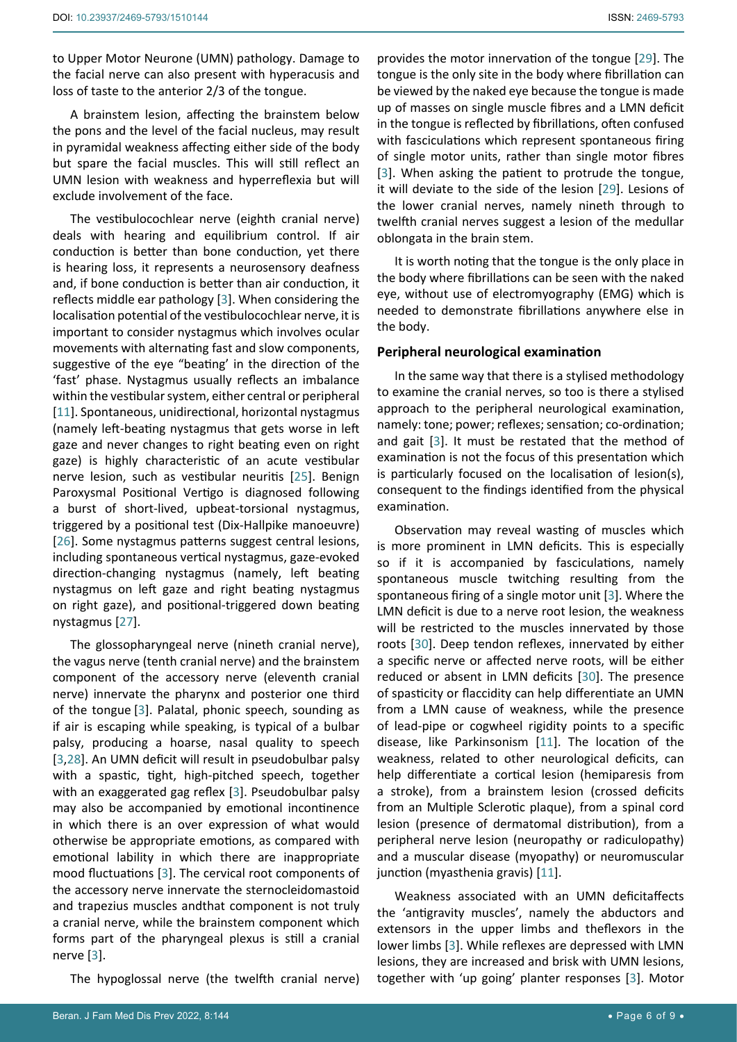to Upper Motor Neurone (UMN) pathology. Damage to the facial nerve can also present with hyperacusis and loss of taste to the anterior 2/3 of the tongue.

A brainstem lesion, affecting the brainstem below the pons and the level of the facial nucleus, may result in pyramidal weakness affecting either side of the body but spare the facial muscles. This will still reflect an UMN lesion with weakness and hyperreflexia but will exclude involvement of the face.

The vestibulocochlear nerve (eighth cranial nerve) deals with hearing and equilibrium control. If air conduction is better than bone conduction, yet there is hearing loss, it represents a neurosensory deafness and, if bone conduction is better than air conduction, it reflects middle ear pathology [[3](#page-7-2)]. When considering the localisation potential of the vestibulocochlear nerve, it is important to consider nystagmus which involves ocular movements with alternating fast and slow components, suggestive of the eye "beating' in the direction of the 'fast' phase. Nystagmus usually reflects an imbalance within the vestibular system, either central or peripheral [[11](#page-8-6)]. Spontaneous, unidirectional, horizontal nystagmus (namely left-beating nystagmus that gets worse in left gaze and never changes to right beating even on right gaze) is highly characteristic of an acute vestibular nerve lesion, such as vestibular neuritis [[25\]](#page-8-23). Benign Paroxysmal Positional Vertigo is diagnosed following a burst of short-lived, upbeat-torsional nystagmus, triggered by a positional test (Dix-Hallpike manoeuvre) [[26](#page-8-24)]. Some nystagmus patterns suggest central lesions, including spontaneous vertical nystagmus, gaze-evoked direction-changing nystagmus (namely, left beating nystagmus on left gaze and right beating nystagmus on right gaze), and positional-triggered down beating nystagmus [\[27\]](#page-8-25).

The glossopharyngeal nerve (nineth cranial nerve), the vagus nerve (tenth cranial nerve) and the brainstem component of the accessory nerve (eleventh cranial nerve) innervate the pharynx and posterior one third of the tongue [[3](#page-7-2)]. Palatal, phonic speech, sounding as if air is escaping while speaking, is typical of a bulbar palsy, producing a hoarse, nasal quality to speech [[3](#page-7-2)[,28](#page-8-26)]. An UMN deficit will result in pseudobulbar palsy with a spastic, tight, high-pitched speech, together with an exaggerated gag reflex [\[3\]](#page-7-2). Pseudobulbar palsy may also be accompanied by emotional incontinence in which there is an over expression of what would otherwise be appropriate emotions, as compared with emotional lability in which there are inappropriate mood fluctuations [[3](#page-7-2)]. The cervical root components of the accessory nerve innervate the sternocleidomastoid and trapezius muscles andthat component is not truly a cranial nerve, while the brainstem component which forms part of the pharyngeal plexus is still a cranial nerve [[3](#page-7-2)].

The hypoglossal nerve (the twelfth cranial nerve)

provides the motor innervation of the tongue [\[29](#page-8-21)]. The tongue is the only site in the body where fibrillation can be viewed by the naked eye because the tongue is made up of masses on single muscle fibres and a LMN deficit in the tongue is reflected by fibrillations, often confused with fasciculations which represent spontaneous firing of single motor units, rather than single motor fibres [\[3\]](#page-7-2). When asking the patient to protrude the tongue, it will deviate to the side of the lesion [[29\]](#page-8-21). Lesions of the lower cranial nerves, namely nineth through to twelfth cranial nerves suggest a lesion of the medullar oblongata in the brain stem.

It is worth noting that the tongue is the only place in the body where fibrillations can be seen with the naked eye, without use of electromyography (EMG) which is needed to demonstrate fibrillations anywhere else in the body.

#### **Peripheral neurological examination**

In the same way that there is a stylised methodology to examine the cranial nerves, so too is there a stylised approach to the peripheral neurological examination, namely: tone; power; reflexes; sensation; co-ordination; and gait [\[3\]](#page-7-2). It must be restated that the method of examination is not the focus of this presentation which is particularly focused on the localisation of lesion(s), consequent to the findings identified from the physical examination.

Observation may reveal wasting of muscles which is more prominent in LMN deficits. This is especially so if it is accompanied by fasciculations, namely spontaneous muscle twitching resulting from the spontaneous firing of a single motor unit [\[3\]](#page-7-2). Where the LMN deficit is due to a nerve root lesion, the weakness will be restricted to the muscles innervated by those roots [[30](#page-8-22)]. Deep tendon reflexes, innervated by either a specific nerve or affected nerve roots, will be either reduced or absent in LMN deficits [\[30](#page-8-22)]. The presence of spasticity or flaccidity can help differentiate an UMN from a LMN cause of weakness, while the presence of lead-pipe or cogwheel rigidity points to a specific disease, like Parkinsonism [\[11](#page-8-6)]. The location of the weakness, related to other neurological deficits, can help differentiate a cortical lesion (hemiparesis from a stroke), from a brainstem lesion (crossed deficits from an Multiple Sclerotic plaque), from a spinal cord lesion (presence of dermatomal distribution), from a peripheral nerve lesion (neuropathy or radiculopathy) and a muscular disease (myopathy) or neuromuscular junction (myasthenia gravis) [[11\]](#page-8-6).

Weakness associated with an UMN deficitaffects the 'antigravity muscles', namely the abductors and extensors in the upper limbs and theflexors in the lower limbs [[3](#page-7-2)]. While reflexes are depressed with LMN lesions, they are increased and brisk with UMN lesions, together with 'up going' planter responses [[3](#page-7-2)]. Motor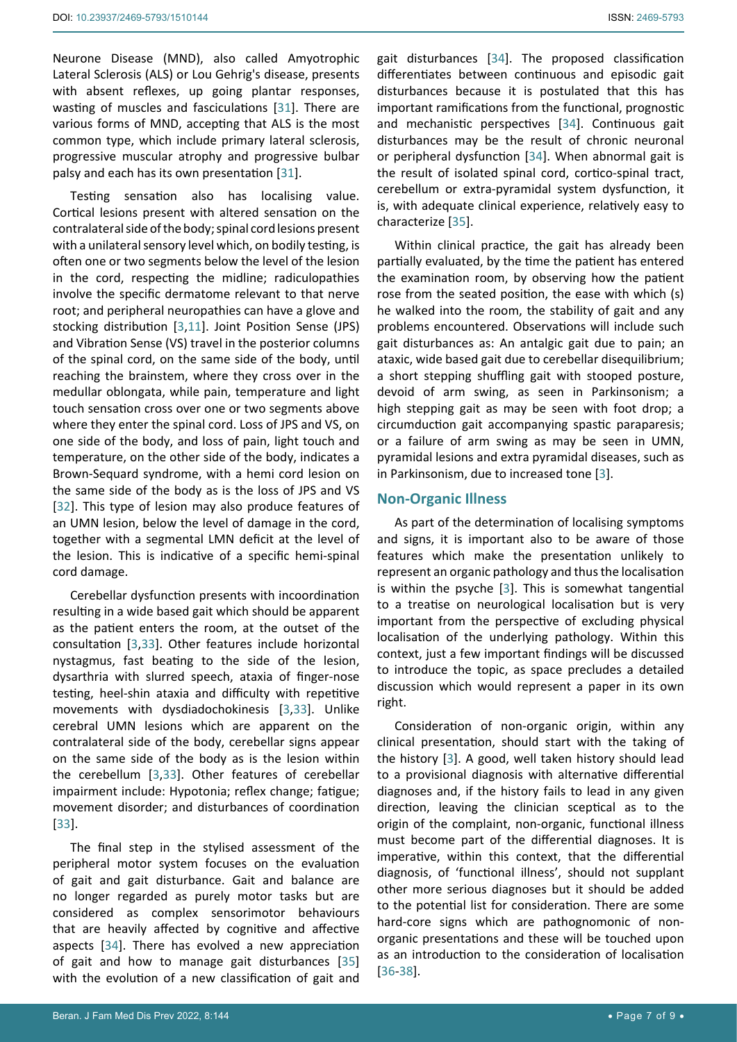Neurone Disease (MND), also called Amyotrophic Lateral Sclerosis (ALS) or Lou Gehrig's disease, presents with absent reflexes, up going plantar responses, wasting of muscles and fasciculations [\[31](#page-8-31)]. There are various forms of MND, accepting that ALS is the most common type, which include primary lateral sclerosis, progressive muscular atrophy and progressive bulbar palsy and each has its own presentation [[31\]](#page-8-31).

Testing sensation also has localising value. Cortical lesions present with altered sensation on the contralateral side of the body; spinal cord lesions present with a unilateral sensory level which, on bodily testing, is often one or two segments below the level of the lesion in the cord, respecting the midline; radiculopathies involve the specific dermatome relevant to that nerve root; and peripheral neuropathies can have a glove and stocking distribution [\[3,](#page-7-2)[11\]](#page-8-6). Joint Position Sense (JPS) and Vibration Sense (VS) travel in the posterior columns of the spinal cord, on the same side of the body, until reaching the brainstem, where they cross over in the medullar oblongata, while pain, temperature and light touch sensation cross over one or two segments above where they enter the spinal cord. Loss of JPS and VS, on one side of the body, and loss of pain, light touch and temperature, on the other side of the body, indicates a Brown-Sequard syndrome, with a hemi cord lesion on the same side of the body as is the loss of JPS and VS [[32](#page-8-32)]. This type of lesion may also produce features of an UMN lesion, below the level of damage in the cord, together with a segmental LMN deficit at the level of the lesion. This is indicative of a specific hemi-spinal cord damage.

Cerebellar dysfunction presents with incoordination resulting in a wide based gait which should be apparent as the patient enters the room, at the outset of the consultation [[3](#page-7-2)[,33](#page-8-33)]. Other features include horizontal nystagmus, fast beating to the side of the lesion, dysarthria with slurred speech, ataxia of finger-nose testing, heel-shin ataxia and difficulty with repetitive movements with dysdiadochokinesis [[3](#page-7-2)[,33](#page-8-33)]. Unlike cerebral UMN lesions which are apparent on the contralateral side of the body, cerebellar signs appear on the same side of the body as is the lesion within the cerebellum [\[3,](#page-7-2)[33\]](#page-8-33). Other features of cerebellar impairment include: Hypotonia; reflex change; fatigue; movement disorder; and disturbances of coordination [[33](#page-8-33)].

The final step in the stylised assessment of the peripheral motor system focuses on the evaluation of gait and gait disturbance. Gait and balance are no longer regarded as purely motor tasks but are considered as complex sensorimotor behaviours that are heavily affected by cognitive and affective aspects [[34\]](#page-8-27). There has evolved a new appreciation of gait and how to manage gait disturbances [\[35](#page-8-28)] with the evolution of a new classification of gait and

gait disturbances [[34](#page-8-27)]. The proposed classification differentiates between continuous and episodic gait disturbances because it is postulated that this has important ramifications from the functional, prognostic and mechanistic perspectives [\[34\]](#page-8-27). Continuous gait disturbances may be the result of chronic neuronal or peripheral dysfunction [\[34\]](#page-8-27). When abnormal gait is the result of isolated spinal cord, cortico-spinal tract, cerebellum or extra-pyramidal system dysfunction, it is, with adequate clinical experience, relatively easy to characterize [\[35\]](#page-8-28).

Within clinical practice, the gait has already been partially evaluated, by the time the patient has entered the examination room, by observing how the patient rose from the seated position, the ease with which (s) he walked into the room, the stability of gait and any problems encountered. Observations will include such gait disturbances as: An antalgic gait due to pain; an ataxic, wide based gait due to cerebellar disequilibrium; a short stepping shuffling gait with stooped posture, devoid of arm swing, as seen in Parkinsonism; a high stepping gait as may be seen with foot drop; a circumduction gait accompanying spastic paraparesis; or a failure of arm swing as may be seen in UMN, pyramidal lesions and extra pyramidal diseases, such as in Parkinsonism, due to increased tone [[3\]](#page-7-2).

## **Non-Organic Illness**

As part of the determination of localising symptoms and signs, it is important also to be aware of those features which make the presentation unlikely to represent an organic pathology and thus the localisation is within the psyche [[3](#page-7-2)]. This is somewhat tangential to a treatise on neurological localisation but is very important from the perspective of excluding physical localisation of the underlying pathology. Within this context, just a few important findings will be discussed to introduce the topic, as space precludes a detailed discussion which would represent a paper in its own right.

Consideration of non-organic origin, within any clinical presentation, should start with the taking of the history [\[3\]](#page-7-2). A good, well taken history should lead to a provisional diagnosis with alternative differential diagnoses and, if the history fails to lead in any given direction, leaving the clinician sceptical as to the origin of the complaint, non-organic, functional illness must become part of the differential diagnoses. It is imperative, within this context, that the differential diagnosis, of 'functional illness', should not supplant other more serious diagnoses but it should be added to the potential list for consideration. There are some hard-core signs which are pathognomonic of nonorganic presentations and these will be touched upon as an introduction to the consideration of localisation [\[36](#page-8-29)-[38\]](#page-8-30).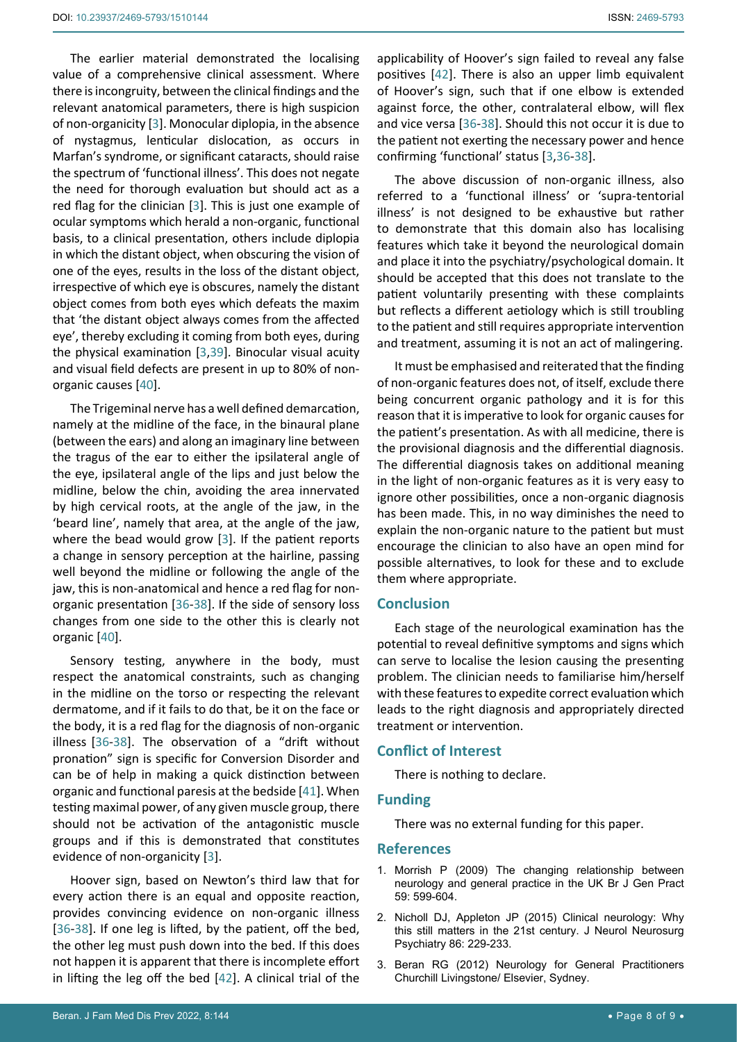The earlier material demonstrated the localising value of a comprehensive clinical assessment. Where there is incongruity, between the clinical findings and the relevant anatomical parameters, there is high suspicion of non-organicity [\[3\]](#page-7-2). Monocular diplopia, in the absence of nystagmus, lenticular dislocation, as occurs in Marfan's syndrome, or significant cataracts, should raise the spectrum of 'functional illness'. This does not negate the need for thorough evaluation but should act as a red flag for the clinician [[3](#page-7-2)]. This is just one example of ocular symptoms which herald a non-organic, functional basis, to a clinical presentation, others include diplopia in which the distant object, when obscuring the vision of one of the eyes, results in the loss of the distant object, irrespective of which eye is obscures, namely the distant object comes from both eyes which defeats the maxim that 'the distant object always comes from the affected eye', thereby excluding it coming from both eyes, during the physical examination [\[3](#page-7-2),[39\]](#page-8-35). Binocular visual acuity and visual field defects are present in up to 80% of nonorganic causes [[40\]](#page-8-36).

The Trigeminal nerve has a well defined demarcation, namely at the midline of the face, in the binaural plane (between the ears) and along an imaginary line between the tragus of the ear to either the ipsilateral angle of the eye, ipsilateral angle of the lips and just below the midline, below the chin, avoiding the area innervated by high cervical roots, at the angle of the jaw, in the 'beard line', namely that area, at the angle of the jaw, where the bead would grow [\[3\]](#page-7-2). If the patient reports a change in sensory perception at the hairline, passing well beyond the midline or following the angle of the jaw, this is non-anatomical and hence a red flag for nonorganic presentation [[36](#page-8-29)[-38\]](#page-8-30). If the side of sensory loss changes from one side to the other this is clearly not organic [\[40\]](#page-8-36).

Sensory testing, anywhere in the body, must respect the anatomical constraints, such as changing in the midline on the torso or respecting the relevant dermatome, and if it fails to do that, be it on the face or the body, it is a red flag for the diagnosis of non-organic illness [\[36](#page-8-29)-[38\]](#page-8-30). The observation of a "drift without pronation" sign is specific for Conversion Disorder and can be of help in making a quick distinction between organic and functional paresis at the bedside [[41\]](#page-8-37). When testing maximal power, of any given muscle group, there should not be activation of the antagonistic muscle groups and if this is demonstrated that constitutes evidence of non-organicity [[3](#page-7-2)].

Hoover sign, based on Newton's third law that for every action there is an equal and opposite reaction, provides convincing evidence on non-organic illness [[36](#page-8-29)[-38\]](#page-8-30). If one leg is lifted, by the patient, off the bed, the other leg must push down into the bed. If this does not happen it is apparent that there is incomplete effort in lifting the leg off the bed [[42\]](#page-8-34). A clinical trial of the

applicability of Hoover's sign failed to reveal any false positives [\[42\]](#page-8-34). There is also an upper limb equivalent of Hoover's sign, such that if one elbow is extended against force, the other, contralateral elbow, will flex and vice versa [\[36](#page-8-29)-[38\]](#page-8-30). Should this not occur it is due to the patient not exerting the necessary power and hence confirming 'functional' status [\[3,](#page-7-2)[36-](#page-8-29)[38](#page-8-30)].

The above discussion of non-organic illness, also referred to a 'functional illness' or 'supra-tentorial illness' is not designed to be exhaustive but rather to demonstrate that this domain also has localising features which take it beyond the neurological domain and place it into the psychiatry/psychological domain. It should be accepted that this does not translate to the patient voluntarily presenting with these complaints but reflects a different aetiology which is still troubling to the patient and still requires appropriate intervention and treatment, assuming it is not an act of malingering.

It must be emphasised and reiterated that the finding of non-organic features does not, of itself, exclude there being concurrent organic pathology and it is for this reason that it is imperative to look for organic causes for the patient's presentation. As with all medicine, there is the provisional diagnosis and the differential diagnosis. The differential diagnosis takes on additional meaning in the light of non-organic features as it is very easy to ignore other possibilities, once a non-organic diagnosis has been made. This, in no way diminishes the need to explain the non-organic nature to the patient but must encourage the clinician to also have an open mind for possible alternatives, to look for these and to exclude them where appropriate.

#### **Conclusion**

Each stage of the neurological examination has the potential to reveal definitive symptoms and signs which can serve to localise the lesion causing the presenting problem. The clinician needs to familiarise him/herself with these features to expedite correct evaluation which leads to the right diagnosis and appropriately directed treatment or intervention.

### **Conflict of Interest**

There is nothing to declare.

# **Funding**

There was no external funding for this paper.

## **References**

- <span id="page-7-0"></span>1. [Morrish P \(2009\) The changing relationship between](https://www.ncbi.nlm.nih.gov/pmc/articles/PMC2714785/)  [neurology and general practice in the UK Br J Gen Pract](https://www.ncbi.nlm.nih.gov/pmc/articles/PMC2714785/)  [59: 599-604.](https://www.ncbi.nlm.nih.gov/pmc/articles/PMC2714785/)
- <span id="page-7-1"></span>2. [Nicholl DJ, Appleton JP \(2015\) Clinical neurology: Why](https://pubmed.ncbi.nlm.nih.gov/24879832/)  [this still matters in the 21st century. J Neurol Neurosurg](https://pubmed.ncbi.nlm.nih.gov/24879832/)  [Psychiatry 86: 229-233.](https://pubmed.ncbi.nlm.nih.gov/24879832/)
- <span id="page-7-2"></span>3. Beran RG (2012) Neurology for General Practitioners Churchill Livingstone/ Elsevier, Sydney.